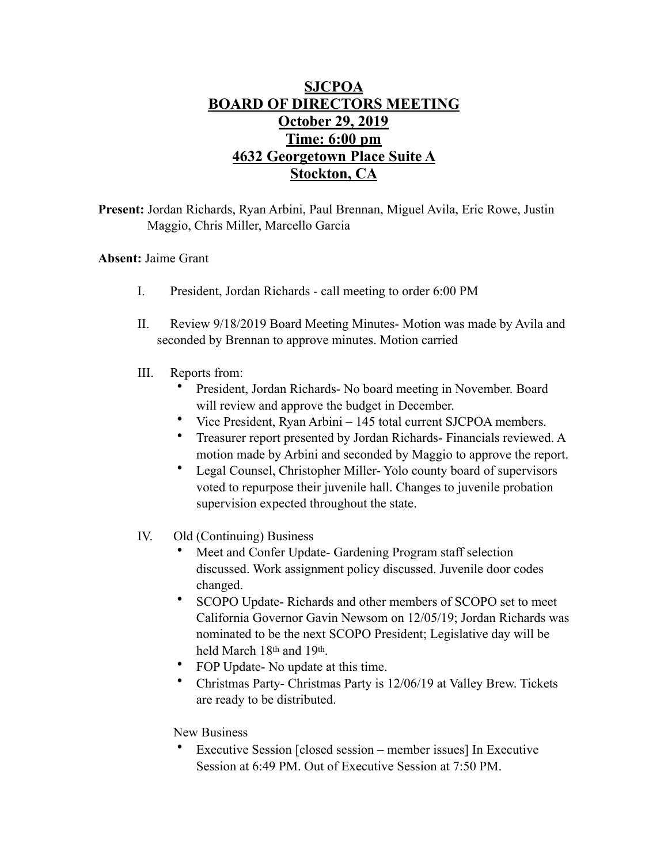## **SJCPOA BOARD OF DIRECTORS MEETING October 29, 2019 Time: 6:00 pm 4632 Georgetown Place Suite A Stockton, CA**

**Present:** Jordan Richards, Ryan Arbini, Paul Brennan, Miguel Avila, Eric Rowe, Justin Maggio, Chris Miller, Marcello Garcia

## **Absent:** Jaime Grant

- I. President, Jordan Richards call meeting to order 6:00 PM
- II. Review 9/18/2019 Board Meeting Minutes- Motion was made by Avila and seconded by Brennan to approve minutes. Motion carried
- III. Reports from:
	- President, Jordan Richards- No board meeting in November. Board will review and approve the budget in December.
	- Vice President, Ryan Arbini 145 total current SJCPOA members.
	- Treasurer report presented by Jordan Richards- Financials reviewed. A motion made by Arbini and seconded by Maggio to approve the report.
	- Legal Counsel, Christopher Miller- Yolo county board of supervisors voted to repurpose their juvenile hall. Changes to juvenile probation supervision expected throughout the state.
- IV. Old (Continuing) Business
	- Meet and Confer Update- Gardening Program staff selection discussed. Work assignment policy discussed. Juvenile door codes changed.
	- SCOPO Update- Richards and other members of SCOPO set to meet California Governor Gavin Newsom on 12/05/19; Jordan Richards was nominated to be the next SCOPO President; Legislative day will be held March 18th and 19th.
	- FOP Update- No update at this time.
	- Christmas Party- Christmas Party is 12/06/19 at Valley Brew. Tickets are ready to be distributed.

## New Business

• Executive Session [closed session – member issues] In Executive Session at 6:49 PM. Out of Executive Session at 7:50 PM.